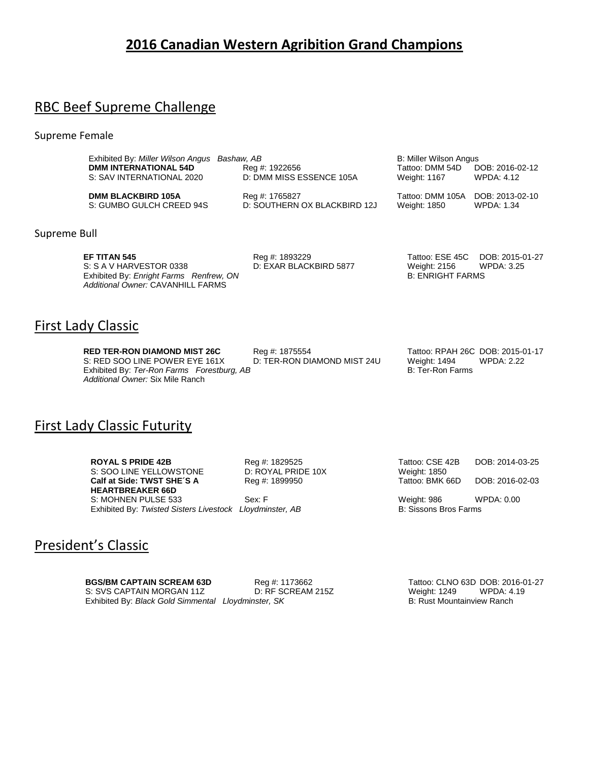# **2016 Canadian Western Agribition Grand Champions**

# RBC Beef Supreme Challenge

Supreme Female

| Exhibited By: Miller Wilson Angus Bashaw, AB |                              | B: Miller Wilson Angus |                 |
|----------------------------------------------|------------------------------|------------------------|-----------------|
| <b>DMM INTERNATIONAL 54D</b>                 | Reg #: 1922656               | Tattoo: DMM 54D        | DOB: 2016-02-12 |
| S: SAV INTERNATIONAL 2020                    | D: DMM MISS ESSENCE 105A     | Weight: 1167           | WPDA: 4.12      |
| <b>DMM BLACKBIRD 105A</b>                    | Reg #: 1765827               | Tattoo: DMM 105A       | DOB: 2013-02-10 |
| S: GUMBO GULCH CREED 94S                     | D: SOUTHERN OX BLACKBIRD 12J | Weight: 1850           | WPDA: 1.34      |

Supreme Bull

**EF TITAN 545 Reg #: 1893229 Tattoo: ESE 45C DOB: 2015-01-27 Reg #: 1893229 Tattoo: ESE 45C DOB: 2015-01-27** S: S A V HARVESTOR 0338 D: EXAR BLACKBIRD 5877 Weight: 2156 WPDA: 3.25 Exhibited By: *Enright Farms Renfrew, ON* B: ENRIGHT FARMS *Additional Owner:* CAVANHILL FARMS

## First Lady Classic

**RED TER-RON DIAMOND MIST 26C** Reg #: 1875554 Tattoo: RPAH 26C DOB: 2015-01-17 S: RED SOO LINE POWER EYE 161X D: TER-RON DIAMOND MIST 24U Weight: 1494 WPDA: 2.22<br>Exhibited By: Ter-Ron Farms Forestburg, AB B: Ter-Ron Farms B: Ter-Ron Farms Exhibited By: Ter-Ron Farms Forestburg, AB *Additional Owner:* Six Mile Ranch

# First Lady Classic Futurity

**ROYAL S PRIDE 42B Reg #: 1829525** Tattoo: CSE 42B DOB: 2014-03-25<br>
S: SOO LINE YELLOWSTONE D: ROYAL PRIDE 10X Weight: 1850 S: SOO LINE YELLOWSTONE D: ROYAL PRID<br>
Calf at Side: TWST SHE'S A Reg #: 1899950 **Calf at Side: TWST SHE´S A HEARTBREAKER 66D** S: MOHNEN PULSE 533 Sex: F Weight: 986 WPDA: 0.00 Exhibited By: *Twisted Sisters Livestock Lloydminster, AB* B: Sissons Bros Farms

Tattoo: BMK 66D DOB: 2016-02-03

## President's Classic

**BGS/BM CAPTAIN SCREAM 63D**<br>
S: SVS CAPTAIN MORGAN 11Z D: RF SCREAM 215Z Weight: 1249 WPDA: 4.19 S: SVS CAPTAIN MORGAN 11Z D: RF SCREAM 215Z Weight: 1249 WPDA: 4.19<br>
Exhibited By: Black Gold Simmental Lloydminster, SK B: Rust Mountainview Ranch Exhibited By: *Black Gold Simmental Lloydminster, SK*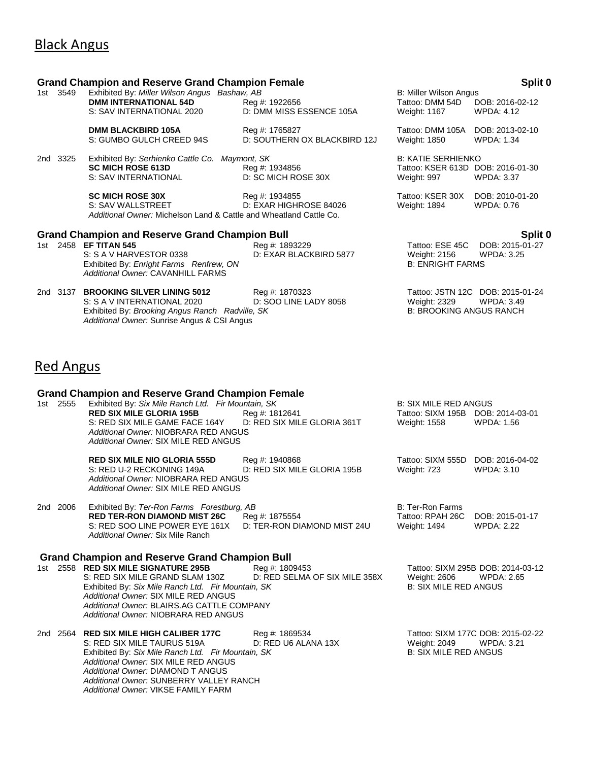## Black Angus

## **Grand Champion and Reserve Grand Champion Female Split 0** 1st 3549 Exhibited By: *Miller Wilson Angus Bashaw, AB* B: Miller Wilson Angus B: Miller Wilson Angus **DMM INTERNATIONAL 54D** Reg #: 1922656 Tattoo: DMM 54D DOB: 2016-02-12 S: SAV INTERNATIONAL 2020 D: DMM MISS ESSENCE 105A Weight: 1167 WPDA: 4.12 **DMM BLACKBIRD 105A** Reg #: 1765827 Tattoo: DMM 105A DOB: 2013-02-10 S: GUMBO GULCH CREED 94S D: SOUTHERN OX BLACKBIRD 12J Weight: 1850 WPDA: 1.34 2nd 3325 Exhibited By: *Serhienko Cattle Co. Maymont, SK* B: KATIE SERHIENKO<br>**SC MICH ROSE 613D** Reg #: 1934856 **Big A: A SC MICH ROSE 613D** Do S: SAV INTERNATIONAL D: SC MICH ROSE 30X Weight: 997 WPDA: 3.37 **SC MICH ROSE 30X Reg #: 1934855** Tattoo: KSER 30X DOB: 2010-01-20<br>
S: SAV WALLSTREET **D: EXAR HIGHROSE 84026** Weight: 1894 WPDA: 0.76 D: EXAR HIGHROSE 84026 Weight: 1894 *Additional Owner:* Michelson Land & Cattle and Wheatland Cattle Co. **Grand Champion and Reserve Grand Champion Bull Split 0** 1st 2458 **EF TITAN 545 Reg #: 1893229 Tattoo: ESE 45C** DOB: 2015-01-27<br>S: S A V HARVESTOR 0338 D: EXAR BLACKBIRD 5877 Weight: 2156 WPDA: 3.25 S: S A V HARVESTOR 0338 **D: EXAR BLACKBIRD 5877** Weight: 2156 W<br>Exhibited By: *Enright Farms Renfrew*, ON B: 3.255 B: 3.255 B: 3.255 B: 3.255 B: 3.255 B: 3.255 B: 3.255 B: 3.255 B: 3.255 B: 3.255 B: 3.255 B: 3.255 B: 3.255 Exhibited By: *Enright Farms Renfrew, ON Additional Owner:* CAVANHILL FARMS 2nd 3137 **BROOKING SILVER LINING 5012** Reg #: 1870323 Tattoo: JSTN 12C DOB: 2015-01-24 S: S A V INTERNATIONAL 2020 D: SOO LINE LADY 8058 Weight: 2329 WPDA: 3.49 Exhibited By: *Brooking Angus Ranch Radville, SK* **B: BROOKING ANGUS RANCH** *Additional Owner:* Sunrise Angus & CSI Angus Red Angus

## **Grand Champion and Reserve Grand Champion Female**

1st 2555 Exhibited By: *Six Mile Ranch Ltd. Fir Mountain, SK* B: SIX MILE RED ANGUS **RED SIX MILE GLORIA 195B** Reg #: 1812641 Tattoo: SIXM 195B DOB: 2014-03-01<br>S: RED SIX MILE GAME FACE 164Y D: RED SIX MILE GLORIA 361T Weight: 1558 WPDA: 1.56 S: RED SIX MILE GAME FACE 164Y D: RED SIX MILE GLORIA 361T Weight: 1558 *Additional Owner:* NIOBRARA RED ANGUS *Additional Owner:* SIX MILE RED ANGUS

**RED SIX MILE NIO GLORIA 555D** Reg #: 1940868 Tattoo: SIXM 555D DOB: 2016-04-02 S: RED U-2 RECKONING 149A D: RED SIX MILE GLORIA 195B Weight: 723 WPDA: 3.10 *Additional Owner:* NIOBRARA RED ANGUS *Additional Owner:* SIX MILE RED ANGUS

#### 2nd 2006 Exhibited By: *Ter-Ron Farms Forestburg, AB* B: Ter-Ron Farms **RED TER-RON DIAMOND MIST 26C** Reg #: 1875554 Tattoo: RPAH 26C DOB: 2015-01-17 S: RED SOO LINE POWER EYE 161X D: TER-RON DIAMOND MIST 24U Weight: 1494 WPDA: 2.22 *Additional Owner:* Six Mile Ranch

## **Grand Champion and Reserve Grand Champion Bull**

1st 2558 **RED SIX MILE SIGNATURE 295B** Reg #: 1809453 Tattoo: SIXM 295B DOB: 2014-03-12<br>S: RED SIX MILE GRAND SLAM 130Z D: RED SELMA OF SIX MILE 358X Weight: 2606 WPDA: 2.65 S: RED SIX MILE GRAND SLAM 130Z D: RED SELMA OF SIX MILE 358X Weight: 2606 WPDA:<br>Exhibited By: Six Mile Ranch Ltd. Fir Mountain. SK Exhibited By: Six Mile Ranch Ltd. Fir Mountain, SK *Additional Owner:* SIX MILE RED ANGUS *Additional Owner:* BLAIRS.AG CATTLE COMPANY *Additional Owner:* NIOBRARA RED ANGUS

2nd 2564 **RED SIX MILE HIGH CALIBER 177C** Reg #: 1869534 Tattoo: SIXM 177C DOB: 2015-02-22 S: RED SIX MILE TAURUS 519A D: RED U6 ALANA 13X Weight: 2049 WPDA: 3.21<br>
Exhibited By: Six Mile Ranch Ltd. Fir Mountain. SK B: SIX MILE RED ANGUS Exhibited By: *Six Mile Ranch Ltd. Fir Mountain*, SK *Additional Owner:* SIX MILE RED ANGUS *Additional Owner:* DIAMOND T ANGUS *Additional Owner:* SUNBERRY VALLEY RANCH *Additional Owner:* VIKSE FAMILY FARM

Tattoo: KSER 613D DOB: 2016-01-30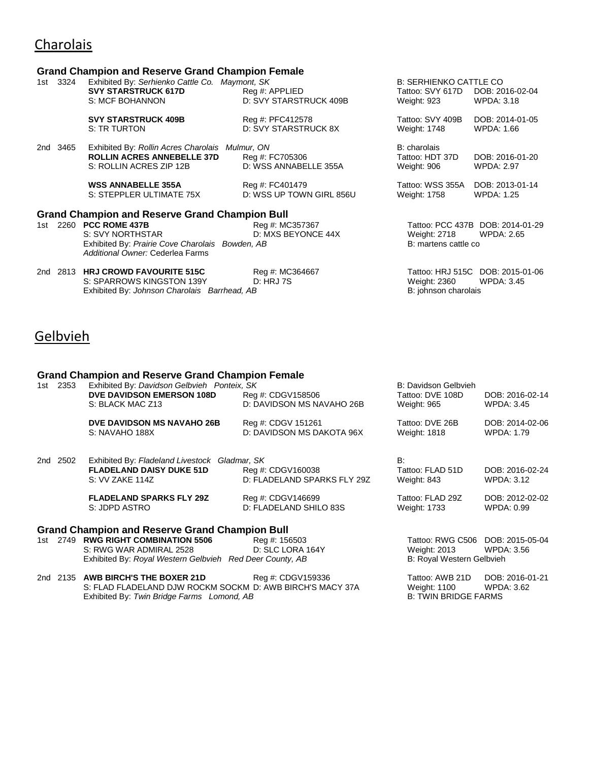# **Charolais**

## **Grand Champion and Reserve Grand Champion Female**

|          | <u>Grand Ghampion and Rood. To Grand Ghampion I Ginald</u>                                                                               |                                             |                                                                  |                                                       |
|----------|------------------------------------------------------------------------------------------------------------------------------------------|---------------------------------------------|------------------------------------------------------------------|-------------------------------------------------------|
| 1st 3324 | Exhibited By: Serhienko Cattle Co. Maymont, SK<br><b>SVY STARSTRUCK 617D</b><br>S: MCF BOHANNON                                          | Reg #: APPLIED<br>D: SVY STARSTRUCK 409B    | <b>B: SERHIENKO CATTLE CO</b><br>Tattoo: SVY 617D<br>Weight: 923 | DOB: 2016-02-04<br><b>WPDA: 3.18</b>                  |
|          | <b>SVY STARSTRUCK 409B</b><br>S: TR TURTON                                                                                               | Reg #: PFC412578<br>D: SVY STARSTRUCK 8X    | Tattoo: SVY 409B<br>Weight: 1748                                 | DOB: 2014-01-05<br><b>WPDA: 1.66</b>                  |
| 2nd 3465 | Exhibited By: Rollin Acres Charolais Mulmur, ON<br><b>ROLLIN ACRES ANNEBELLE 37D</b><br>S: ROLLIN ACRES ZIP 12B                          | Reg #: FC705306<br>D: WSS ANNABELLE 355A    | B: charolais<br>Tattoo: HDT 37D<br>Weight: 906                   | DOB: 2016-01-20<br><b>WPDA: 2.97</b>                  |
|          | <b>WSS ANNABELLE 355A</b><br>S: STEPPLER ULTIMATE 75X                                                                                    | Reg #: FC401479<br>D: WSS UP TOWN GIRL 856U | Tattoo: WSS 355A<br>Weight: 1758                                 | DOB: 2013-01-14<br><b>WPDA: 1.25</b>                  |
|          | <b>Grand Champion and Reserve Grand Champion Bull</b>                                                                                    |                                             |                                                                  |                                                       |
|          | 1st 2260 <b>PCC ROME 437B</b><br>S: SVY NORTHSTAR<br>Exhibited By: Prairie Cove Charolais Bowden, AB<br>Additional Owner: Cederlea Farms | Reg #: MC357367<br>D: MXS BEYONCE 44X       | Weight: 2718<br>B: martens cattle co                             | Tattoo: PCC 437B DOB: 2014-01-29<br><b>WPDA: 2.65</b> |
|          | 2nd 2813 HRJ CROWD FAVOURITE 515C<br>S: SPARROWS KINGSTON 139Y<br>Exhibited By: Johnson Charolais Barrhead, AB                           | Reg #: MC364667<br><b>D: HRJ 7S</b>         | Weight: 2360<br>B: johnson charolais                             | Tattoo: HRJ 515C DOB: 2015-01-06<br><b>WPDA: 3.45</b> |

# **Gelbvieh**

## **Grand Champion and Reserve Grand Champion Female**

| 1st | 2353     | Exhibited By: Davidson Gelbvieh Ponteix, SK<br><b>DVE DAVIDSON EMERSON 108D</b><br>S: BLACK MAC Z13 | Reg #: CDGV158506<br>D: DAVIDSON MS NAVAHO 26B   | B: Davidson Gelbvieh<br>Tattoo: DVE 108D<br>Weight: 965 | DOB: 2016-02-14<br><b>WPDA: 3.45</b> |
|-----|----------|-----------------------------------------------------------------------------------------------------|--------------------------------------------------|---------------------------------------------------------|--------------------------------------|
|     |          | <b>DVE DAVIDSON MS NAVAHO 26B</b><br>S: NAVAHO 188X                                                 | Reg #: CDGV 151261<br>D: DAVIDSON MS DAKOTA 96X  | Tattoo: DVE 26B<br>Weight: 1818                         | DOB: 2014-02-06<br>WPDA: 1.79        |
|     | 2nd 2502 | Exhibited By: Fladeland Livestock Gladmar, SK<br><b>FLADELAND DAISY DUKE 51D</b><br>S: VV ZAKE 114Z | Reg #: CDGV160038<br>D: FLADELAND SPARKS FLY 29Z | B:<br>Tattoo: FLAD 51D<br>Weight: 843                   | DOB: 2016-02-24<br><b>WPDA: 3.12</b> |
|     |          | <b>FLADELAND SPARKS FLY 29Z</b><br>S: JDPD ASTRO                                                    | Reg #: CDGV146699<br>D: FLADELAND SHILO 83S      | Tattoo: FLAD 29Z<br>Weight: 1733                        | DOB: 2012-02-02<br>WPDA: 0.99        |
|     |          | <b>Grand Champion and Reserve Grand Champion Bull</b>                                               |                                                  |                                                         |                                      |
|     |          | 1st 2749 RWG RIGHT COMBINATION 5506                                                                 | Reg #: 156503                                    | Tattoo: RWG C506 DOB: 2015-05-04                        |                                      |
|     |          | S: RWG WAR ADMIRAL 2528                                                                             | D: SLC LORA 164Y                                 | Weight: 2013                                            | WPDA: 3.56                           |
|     |          | Exhibited By: Royal Western Gelbvieh Red Deer County, AB                                            |                                                  | B: Royal Western Gelbvieh                               |                                      |
|     |          | 2nd 2135 AWB BIRCH'S THE BOXER 21D                                                                  | Reg #: CDGV159336                                | Tattoo: AWB 21D                                         | DOB: 2016-01-21                      |

|  |  | 2nd 2135 AWB BIRCH'S THE BOXER 21D                        | Reg #: CDGV159336 | Tattoo: AWB 21D      | DOB: 2016-0 |
|--|--|-----------------------------------------------------------|-------------------|----------------------|-------------|
|  |  | S: FLAD FLADELAND DJW ROCKM SOCKM D: AWB BIRCH'S MACY 37A |                   | <b>Weight: 1100</b>  | WPDA: 3.62  |
|  |  | Exhibited By: Twin Bridge Farms Lomond, AB                |                   | B: TWIN BRIDGE FARMS |             |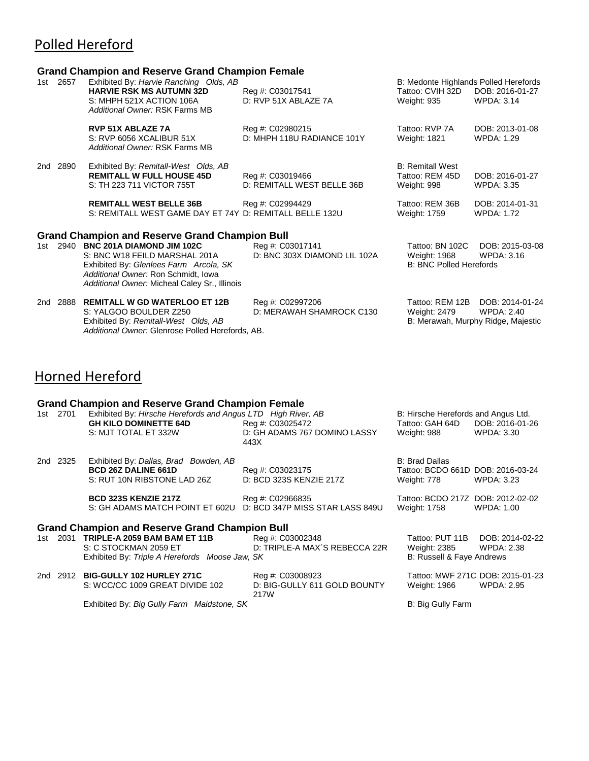# Polled Hereford

### **Grand Champion and Reserve Grand Champion Female**

|     |      | <b>110 Champion and Rooch to Crana Champion I chialo</b>                                                                                                                                                                                                       |                                                  |                                                                          |                                                                            |
|-----|------|----------------------------------------------------------------------------------------------------------------------------------------------------------------------------------------------------------------------------------------------------------------|--------------------------------------------------|--------------------------------------------------------------------------|----------------------------------------------------------------------------|
| 1st | 2657 | Exhibited By: Harvie Ranching Olds, AB<br><b>HARVIE RSK MS AUTUMN 32D</b><br>S: MHPH 521X ACTION 106A<br>Additional Owner: RSK Farms MB                                                                                                                        | Reg #: C03017541<br>D: RVP 51X ABLAZE 7A         | B: Medonte Highlands Polled Herefords<br>Tattoo: CVIH 32D<br>Weight: 935 | DOB: 2016-01-27<br><b>WPDA: 3.14</b>                                       |
|     |      | <b>RVP 51X ABLAZE 7A</b><br>S: RVP 6056 XCALIBUR 51X<br>Additional Owner: RSK Farms MB                                                                                                                                                                         | Reg #: C02980215<br>D: MHPH 118U RADIANCE 101Y   | Tattoo: RVP 7A<br><b>Weight: 1821</b>                                    | DOB: 2013-01-08<br><b>WPDA: 1.29</b>                                       |
| 2nd | 2890 | Exhibited By: Remitall-West Olds, AB<br><b>REMITALL W FULL HOUSE 45D</b><br>S: TH 223 711 VICTOR 755T                                                                                                                                                          | Reg #: C03019466<br>D: REMITALL WEST BELLE 36B   | <b>B: Remitall West</b><br>Tattoo: REM 45D<br>Weight: 998                | DOB: 2016-01-27<br><b>WPDA: 3.35</b>                                       |
|     |      | <b>REMITALL WEST BELLE 36B</b><br>S: REMITALL WEST GAME DAY ET 74Y D: REMITALL BELLE 132U                                                                                                                                                                      | Reg #: C02994429                                 | Tattoo: REM 36B<br>Weight: 1759                                          | DOB: 2014-01-31<br><b>WPDA: 1.72</b>                                       |
|     |      | <b>Grand Champion and Reserve Grand Champion Bull</b><br>1st 2940 BNC 201A DIAMOND JIM 102C<br>S: BNC W18 FEILD MARSHAL 201A<br>Exhibited By: Glenlees Farm Arcola, SK<br>Additional Owner: Ron Schmidt, Iowa<br>Additional Owner: Micheal Caley Sr., Illinois | Reg #: C03017141<br>D: BNC 303X DIAMOND LIL 102A | Tattoo: BN 102C<br>Weight: 1968<br><b>B: BNC Polled Herefords</b>        | DOB: 2015-03-08<br>WPDA: 3.16                                              |
| 2nd | 2888 | <b>REMITALL W GD WATERLOO ET 12B</b><br>S: YALGOO BOULDER Z250<br>Exhibited By: Remitall-West Olds, AB                                                                                                                                                         | Reg #: C02997206<br>D: MERAWAH SHAMROCK C130     | Tattoo: REM 12B<br>Weight: 2479                                          | DOB: 2014-01-24<br><b>WPDA: 2.40</b><br>B: Merawah, Murphy Ridge, Majestic |

# Horned Hereford

### **Grand Champion and Reserve Grand Champion Female**

*Additional Owner:* Glenrose Polled Herefords, AB.

|       |          | Grand Champion and Reserve Grand Champion Female                                                                     |                                                          |                                                                           |                               |
|-------|----------|----------------------------------------------------------------------------------------------------------------------|----------------------------------------------------------|---------------------------------------------------------------------------|-------------------------------|
|       | 1st 2701 | Exhibited By: Hirsche Herefords and Angus LTD High River, AB<br><b>GH KILO DOMINETTE 64D</b><br>S: MJT TOTAL ET 332W | Reg #: C03025472<br>D: GH ADAMS 767 DOMINO LASSY<br>443X | B: Hirsche Herefords and Angus Ltd.<br>Tattoo: GAH 64D<br>Weight: 988     | DOB: 2016-01-26<br>WPDA: 3.30 |
|       | 2nd 2325 | Exhibited By: Dallas, Brad Bowden, AB<br><b>BCD 26Z DALINE 661D</b><br>S: RUT 10N RIBSTONE LAD 26Z                   | Reg #: C03023175<br>D: BCD 323S KENZIE 217Z              | <b>B: Brad Dallas</b><br>Tattoo: BCDO 661D DOB: 2016-03-24<br>Weight: 778 | <b>WPDA: 3.23</b>             |
|       |          | <b>BCD 323S KENZIE 217Z</b><br>S: GH ADAMS MATCH POINT ET 602U                                                       | Reg #: C02966835<br>D: BCD 347P MISS STAR LASS 849U      | Tattoo: BCDO 217Z DOB: 2012-02-02<br>Weight: 1758                         | WPDA: 1.00                    |
|       |          | <b>Grand Champion and Reserve Grand Champion Bull</b>                                                                |                                                          |                                                                           |                               |
| 1st - |          | 2031 TRIPLE-A 2059 BAM BAM ET 11B                                                                                    | Reg #: C03002348                                         | Tattoo: PUT 11B                                                           | DOB: 2014-02-22               |
|       |          | S: C STOCKMAN 2059 ET                                                                                                | D: TRIPLE-A MAX'S REBECCA 22R                            | Weight: 2385                                                              | <b>WPDA: 2.38</b>             |
|       |          | Exhibited By: Triple A Herefords Moose Jaw, SK                                                                       |                                                          | B: Russell & Faye Andrews                                                 |                               |

2nd 2912 **BIG-GULLY 102 HURLEY 271C** Reg #: C03008923 Tattoo: MWF 271C DOB: 2015-01-23 S: WCC/CC 1009 GREAT DIVIDE 102 217W Weight: 1966 Exhibited By: *Big Gully Farm Maidstone, SK* B: Big Gully Farm B: Big Gully Farm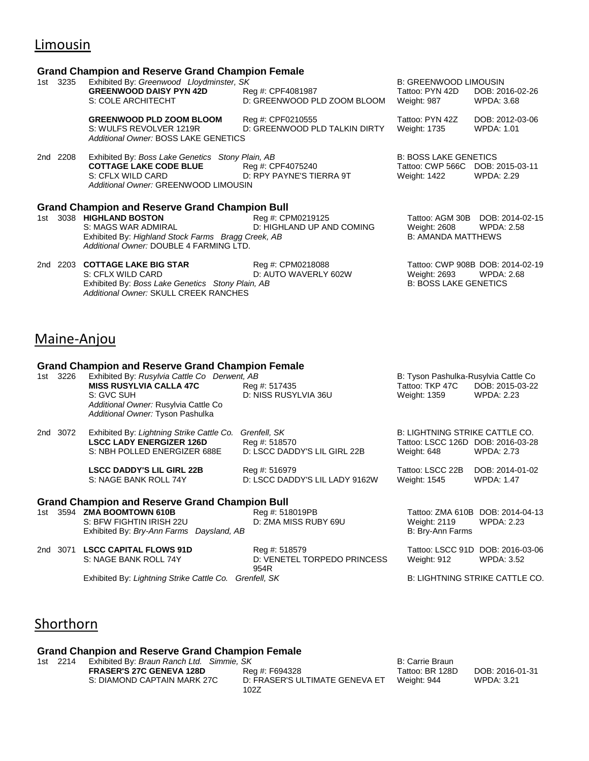# Limousin

#### **Grand Champion and Reserve Grand Champion Female**

|     | 1st 3235 | Exhibited By: Greenwood Lloydminster, SK                                                                                                                                                  |                                                    | <b>B: GREENWOOD LIMOUSIN</b>                                                     |                                                       |
|-----|----------|-------------------------------------------------------------------------------------------------------------------------------------------------------------------------------------------|----------------------------------------------------|----------------------------------------------------------------------------------|-------------------------------------------------------|
|     |          | <b>GREENWOOD DAISY PYN 42D</b><br>S: COLE ARCHITECHT                                                                                                                                      | Reg #: CPF4081987<br>D: GREENWOOD PLD ZOOM BLOOM   | Tattoo: PYN 42D<br>Weight: 987                                                   | DOB: 2016-02-26<br><b>WPDA: 3.68</b>                  |
|     |          | <b>GREENWOOD PLD ZOOM BLOOM</b><br>S: WULFS REVOLVER 1219R<br>Additional Owner: BOSS LAKE GENETICS                                                                                        | Reg #: CPF0210555<br>D: GREENWOOD PLD TALKIN DIRTY | Tattoo: PYN 42Z<br>Weight: 1735                                                  | DOB: 2012-03-06<br><b>WPDA: 1.01</b>                  |
|     | 2nd 2208 | Exhibited By: Boss Lake Genetics Stony Plain, AB<br><b>COTTAGE LAKE CODE BLUE</b> Reg #: CPF4075240<br>S: CFLX WILD CARD D: RPY PAYNE'S TIERRA 9T<br>Additional Owner: GREENWOOD LIMOUSIN |                                                    | <b>B: BOSS LAKE GENETICS</b><br>Tattoo: CWP 566C DOB: 2015-03-11<br>Weight: 1422 | <b>WPDA: 2.29</b>                                     |
|     |          | <b>Grand Champion and Reserve Grand Champion Bull</b>                                                                                                                                     |                                                    |                                                                                  |                                                       |
|     |          | 1st 3038 HIGHLAND BOSTON<br>S: MAGS WAR ADMIRAL<br>Exhibited By: Highland Stock Farms Bragg Creek, AB<br>Additional Owner: DOUBLE 4 FARMING LTD.                                          | Reg #: CPM0219125<br>D: HIGHLAND UP AND COMING     | Weight: 2608<br><b>B: AMANDA MATTHEWS</b>                                        | Tattoo: AGM 30B DOB: 2014-02-15<br><b>WPDA: 2.58</b>  |
| 2nd | 2203     | <b>COTTAGE LAKE BIG STAR</b><br>S: CFLX WILD CARD<br>Exhibited By: Boss Lake Genetics Stony Plain, AB<br>Additional Owner: SKULL CREEK RANCHES                                            | Reg #: CPM0218088<br>D: AUTO WAVERLY 602W          | Weight: 2693<br><b>B: BOSS LAKE GENETICS</b>                                     | Tattoo: CWP 908B DOB: 2014-02-19<br><b>WPDA: 2.68</b> |

## Maine-Anjou

**Grand Champion and Reserve Grand Champion Female**<br>1st 3226 Exhibited By: Rusylvia Cattle Co Derwent, AB Exhibited By: *Rusylvia Cattle Co Derwent, AB* B: Tyson Pashulka-Rusylvia Cattle Co B: Tyson Pashulka-Rusylvia Cattle Co **MISS RUSYLVIA CALLA 47C** Req #: 517435 **MISS RUSYLVIA CALLA 47C** Req #: 517435 MISS RUSYLVIA CALLA 47C Reg #: 517435 Tattoo: TKP 47C DOB: 2015-0<br>S: GVC SUH D: NISS RUSYLVIA 36U Weight: 1359 WPDA: 2.23 D: NISS RUSYLVIA 36U *Additional Owner:* Rusylvia Cattle Co *Additional Owner:* Tyson Pashulka 2nd 3072 Exhibited By: *Lightning Strike Cattle Co. Grenfell, SK* B: LIGHTNING STRIKE CATTLE CO. **LSCC LADY ENERGIZER 126D** Reg #: 518570 Tattoo: LSCC 126D DOB: 2016-03-28 S: NBH POLLED ENERGIZER 688E D: LSCC DADDY'S LIL GIRL 22B Weight: 648 WPDA: 2.73 **LSCC DADDY'S LIL GIRL 22B** Reg #: 516979 Tattoo: LSCC 22B DOB: 2014-01-02 S: NAGE BANK ROLL 74Y D: LSCC DADDY'S LIL LADY 9162W Weight: 1545 WPDA: 1.47

# **Grand Champion and Reserve Grand Champion Bull<br>1st 3594 <b>ZMA BOOMTOWN 610B** Reg #: 518019PB

1st 3594 **ZMA BOOMTOWN 610B** Reg #: 518019PB Tattoo: ZMA 610B DOB: 2014-04-13<br>S: BFW FIGHTIN IRISH 22U D: ZMA MISS RUBY 69U Weight: 2119 WPDA: 2.23 S: BFW FIGHTIN IRISH 22U D: ZMA MISS RUBY 69U Weight: 2119<br>Exhibited By: *Bry-Ann Farms Daysland, AB* B: 2.333 B: 2.233 B: 2.234 B: 2.334 B: 2.334 B: 2.334 B: 2.334 B: 2.33 Exhibited By: Bry-Ann Farms Daysland, AB

2nd 3071 **LSCC CAPITAL FLOWS 91D**<br>2nd 3071 **LSCC CAPITAL FLOWS 91D** Reg #: 518579 Tattoo: LSCC 91D DOB: 2016-03-06<br>2.52 D: VENETEL TORPEDO PRINCESS Weight: 912 WPDA: 3.52

D: VENETEL TORPEDO PRINCESS 954R

Weight: 912

Exhibited By: *Lightning Strike Cattle Co. Grenfell, SK* B: LIGHTNING STRIKE CATTLE CO.

# Shorthorn

### **Grand Chanpion and Reserve Grand Champion Female**

1st 2214 Exhibited By: *Braun Ranch Ltd. Simmie, SK* Biorness and Braun Braun<br>**FRASER'S 27C GENEVA 128D** Beg #: F694328 **Braun Braun Braun** Tattoo: BR 128D

**FRASER'S 27C GENEVA 128D**<br>
S: DIAMOND CAPTAIN MARK 27C D: FRASER'S ULTIMATE GENEVA ET Weight: 944 WPDA: 3.21 D: FRASER'S ULTIMATE GENEVA ET 102Z

Weight: 944